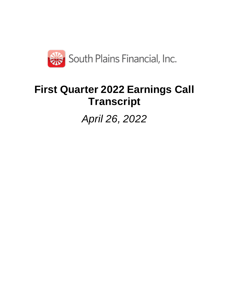

# **First Quarter 2022 Earnings Call Transcript**

*April 26, 2022*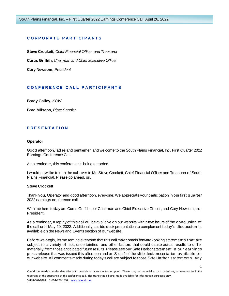# **C O R P O R A T E P A R T I C I P A N T S**

**Steve Crockett,** *Chief Financial Officer and Treasurer* **Curtis Griffith,** *Chairman and Chief Executive Officer* **Cory Newsom,** *President*

# **C O N F E R E N C E C A L L P A R T I C I P A N T S**

**Brady Gailey,** *KBW*

**Brad Milsaps,** *Piper Sandler*

## **P R E S E N T A T I O N**

#### **Operator**

Good afternoon, ladies and gentlemen and welcome to the South Plains Financial, Inc. First Quarter 2022 Earnings Conference Call.

As a reminder, this conference is being recorded.

I would now like to turn the call over to Mr. Steve Crockett, Chief Financial Officer and Treasurer of South Plains Financial. Please go ahead, sir.

#### **Steve Crockett**

Thank you, Operator and good afternoon, everyone. We appreciate your participation in our first quarter 2022 earnings conference call.

With me here today are Curtis Griffith, our Chairman and Chief Executive Officer, and Cory Newsom, our President.

As a reminder, a replay of this call will be available on our website within two hours of the conclusion of the call until May 10, 2022. Additionally, a slide deck presentation to complement today's discussion is available on the News and Events section of our website.

Before we begin, let me remind everyone that this call may contain forward-looking statements that are subject to a variety of risk, uncertainties, and other factors that could cause actual results to differ materially from those anticipated future results. Please see our Safe Harbor statement in our earnings press release that was issued this afternoon and on Slide 2 of the slide deck presentation available on our website. All comments made during today's call are subject to those Safe Harbor statements. Any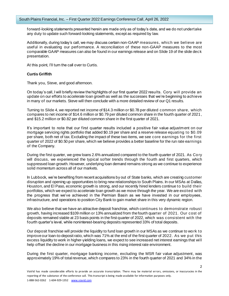forward-looking statements presented herein are made only as of today's date, and we do not undertake any duty to update such forward-looking statements, except as required by law.

Additionally, during today's call, we may discuss certain non-GAAP measures, which we believe are useful in evaluating our performance. A reconciliation of these non-GAAP measures to the most comparable GAAP measures can also be found in our earnings release and on Slide 19 of the slide deck presentation.

At this point, I'll turn the call over to Curtis.

#### **Curtis Griffith**

Thank you, Steve, and good afternoon.

On today's call, I will briefly review the highlights of our first quarter 2022 results. Cory will provide an update on our efforts to accelerate loan growth as well as the successes that we're beginning to achieve in many of our markets. Steve will then conclude with a more detailed review of our Q1 results.

Turning to Slide 4, we reported net income of \$14.3 million or \$0.78 per diluted common share, which compares to net income of \$14.6 million or \$0.79 per diluted common share in the fourth quarter of 2021, and \$15.2 million or \$0.82 per diluted common share in the first quarter of 2021.

It's important to note that our first quarter results included a positive fair value adjustment on our mortgage servicing rights portfolio that added \$0.19 per share and a reserve release equating to \$0.09 per share, both net of tax. Excluding the impact of these two items, we see core earnings for the first quarter of 2022 of \$0.50 per share, which we believe provides a better baseline for the run rate earnings of the Company.

During the first quarter, we grew loans 2.6% annualized compared to the fourth quarter of 2021. As Cory will discuss, we experienced the typical softer trends through the fourth and first quarters, which suppressed loan growth. However, underlying loan demand remains strong as we continue to experience solid momentum across all of our markets.

In Lubbock, we're benefiting from recent acquisitions by out of State banks, which are creating customer disruption and opening up opportunities to bring new relationships to South Plains. In our MSAs at Dallas, Houston, and El Paso, economic growth is strong, and our recently hired lenders continue to build their portfolios, which we expect to accelerate loan growth as we move through the year. We are excited with the progress that we've achieved in the Permian Basin as we have invested in our employees, infrastructure, and operations to position City Bank to gain market share in this very dynamic region.

We also believe that we have an attractive deposit franchise, which continues to demonstrate robust growth, having increased \$109 million or 13% annualized from the fourth quarter of 2021. Our cost of deposits remained stable at 23 basis points in the first quarter of 2022, which was consistent with the fourth quarter's level, while noninterest-bearing deposits represented 33% of total deposits.

Our deposit franchise will provide the liquidity to fund loan growth in our MSAs as we continue to work to improve our loan-to-deposit ratio, which was 71% at the end of the first quarter of 2022. As we put this excess liquidity to work in higher-yielding loans, we expect to see increased net interest earnings that will help offset the decline in our mortgage business in this rising interest rate environment.

During the first quarter, mortgage banking income, excluding the MSR fair value adjustment, was approximately 19% of total revenue, which compares to 23% in the fourth quarter of 2021 and 34% in the

 $\mathfrak{D}$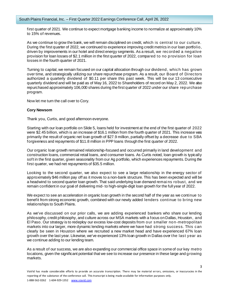first quarter of 2021. We continue to expect mortgage banking income to normalize at approximately 10% to 15% of revenues.

As we continue to grow the bank, we will remain disciplined on credit, which is central to our culture. During the first quarter of 2022, we continued to experience improving credit metrics in our loan portfolio, driven by improvements in our hotel and direct energy segments. As a result, we recorded a negative provision for loan losses of \$2.1 million in the first quarter of 2022, compared to no provision for loan losses in the fourth quarter of 2021.

Turning to capital, we remain focused on our capital allocation through our dividend , which has grown over time, and strategically utilizing our share repurchase program. As a result, our Board of Directors authorized a quarterly dividend of \$0.11 per share this past week. This will be our 13 consecutive quarterly dividend and will be paid as of May 16, 2022 to Shareholders of record on May 2, 2022. We also repurchased approximately 106,000 shares during the first quarter of 2022 under our share repurchase program.

Now let me turn the call over to Cory.

#### **Cory Newsom**

Thank you, Curtis, and good afternoon everyone.

Starting with our loan portfolio on Slide 5, loans held for investment at the end of the first quarter of 2022 were \$2.45 billion, which is an increase of \$16.1 million from the fourth quarter of 2021. This increase was primarily the result of organic net loan growth of \$27.9 million, partially offset by a decrease due to SBA forgiveness and repayments of \$11.8 million in PPP loans through the first quarter of 2022.

Our organic loan growth remained relationship-focused and occurred primarily in land development and construction loans, commercial retail loans, and consumer loans. As Curtis noted, loan growth is typically soft in the first quarter, given seasonality from our Ag portfolio, which experiences repayments. During the first quarter, we had net repayments of \$35.5 million.

Looking to the second quarter, we also expect to see a large relationship in the energy sector of approximately \$46 million pay off as it moves to a non-bank structure. This has been expected and will be a headwind to second quarter loan growth. That said underlying loan demand remai ns robust, and we remain confident in our goal of delivering mid- to high-single-digit loan growth for the full year of 2022.

We expect to see an acceleration in organic loan growth in the second half of the year as we continue to benefit from strong economic growth, combined with our newly added lenders continue to bring new relationships to South Plains.

As we've discussed on our prior calls, we are adding experienced bankers who share our lending philosophy, credit philosophy, and culture across our MSA markets with a focus on Dallas, Houston, and El Paso. Our strategy is to redeploy our excess low-cost deposits from our smaller non-metropolitan markets into our larger, more dynamic lending markets where we have had strong success. This can clearly be seen in Houston where we recruited a new market head and have experienced 67% loan growth over the last year. Likewise, we've experienced 13% loan growth in Dallas over the last year as we continue adding to our lending team.

As a result of our success, we are also expanding our commercial office space in some of our key metro locations, given the significant potential that we see to increase our presence in these large and growing markets.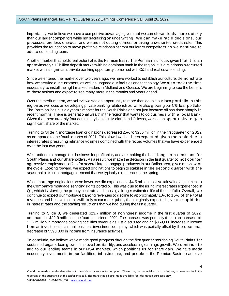Importantly, we believe we have a competitive advantage given that we can close deals more quickly than our larger competitors while not sacrificing on underwriting. We can make rapid decisions, our processes are less onerous, and we are not cutting corners or taking unwarranted credit risks. This provides the foundation to move profitable relationships from our larger competitors as we continue to add to our lending team.

Another market that holds real potential is the Permian Basin. The Permian is unique, given that it is an approximately \$12 billion deposit market with no dominant bank in the region. It is a relationship-focused market with a significant private banking opportunity combined with C&I and real estate lending.

Since we entered the market over two years ago, we have worked to establish our culture, demonstrate how we service our customers, as well as upgrade our facilities and technology. We also took the time necessary to install the right market leaders in Midland and Odessa. We are beginning to see the benefits of these actions and expect to see many more in the months and years ahead.

Over the medium term, we believe we see an opportunity to more than double our loan portfolio in this region as we focus on developing private banking relationships, while also growing our C&I loan portfolio. The Permian Basin is a dynamic market for the South Plains and not just because oil has risen sharply in recent months. There is generational wealth in the region that wants to do business with a local bank. Given that there are only four community banks in Midland and Odessa, we see an opportunity to gain significant share of the market.

Turning to Slide 7, mortgage loan originations decreased 25% to \$235 million in the first quarter of 2022 as compared to the fourth quarter of 2021. This slowdown has been expect ed given the rapid rise in interest rates pressuring refinance volumes combined with the record volumes that we have experienced over the last two years.

We continue to manage this business for profitability and are making the best long-term decisions for South Plains and our Shareholders. As a result, we made the decision in the first quarter to not counter aggressive employment offers for several large mortgage producers in our Dallas area, given our view of the cycle. Looking forward, we expect originations to begin to stabilize in the second quarter with the seasonal pickup in mortgage demand that we typically experience in the spring.

While mortgage originations were lower, we did experience a \$4.5 million positive fair value adjustment to the Company's mortgage servicing rights portfolio. This was due to the rising interest rates experienced in Q1, which is slowing the prepayment rate and causing a longer estimated life of the portfolio. Overall, we continue to expect our mortgage banking revenues to decline to approximately 10% to 15% of the total revenues and believe that this will likely occur more quickly than originally expected, given the rapid rise in interest rates and the staffing reductions that we had during the first quarter.

Turning to Slide 8, we generated \$23.7 million of noninterest income in the first quarter of 2022, compared to \$22.9 million in the fourth quarter of 2021. The increase was primarily due to an increase of \$1.2 million in mortgage banking activities revenue as just discussed and an \$869,000 increase in income from an investment in a small business investment company, which was partially offset by the seasonal decrease of \$598,000 in income from insurance activities.

To conclude, we believe we've made good progress through the first quarter positioning South Plains for sustained organic loan growth, improved profitability, and accelerating earnings growth. We continue to add to our lending teams in our MSA markets, which positions us for share gain. We have made necessary investments in our facilities, infrastructure, and people in the Permian Basin to achieve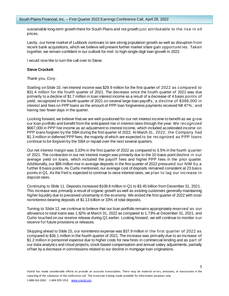sustainable long-term growth there for South Plains and not growth just attributable to the rise in oil prices.

Lastly, our home market of Lubbock continues to see strong population growth as well as disruption from recent bank acquisitions, which we believe will present further market share gain opportunit ies. Taken together, we remain confident in our outlook for mid- to high-single-digit loan growth in 2022.

I would now like to turn the call over to Steve.

#### **Steve Crockett**

Thank you, Cory.

Starting on Slide 10, net interest income was \$29.9 million for the first quarter of 2022 as compared to \$31.4 million for the fourth quarter of 2021. The decrease since the fourth quarter of 2021 was due primarily to a decline of \$1.7 million in loan interest income as a result of a decrease of 4 basis points of yield, recognized in the fourth quarter of 2021 on several large loan payoffs; a decline of \$388,000 in interest and fees on PPP loans as the amount of PPP loan forgiveness payments received fell 47% ; and having two fewer days in the quarter.

Looking forward, we believe that we are well-positioned for our net interest income to benefit as we grow our loan portfolio and benefit from the anticipated rise in interest rates through the year. We recognized \$667,000 in PPP fee income as an adjustment to interest income, which included accelerated income on PPP loans forgiven by the SBA during the first quarter of 2022. At March 31, 2022, the Company had \$1.3 million in deferred PPP fees, the majority of which are expected to be recognized as PPP loans continue to be forgiven by the SBA or repaid over the next several quarters.

Our net interest margin was 3.33% in the first quarter of 2022 as compared to 3.5% in the fourth quarter of 2021. The contraction in our net interest margin was primarily due to the 10-basis point decline in our average yield on loans, which included the payoff fees and higher PPP fees in the prior quarter. Additionally, our \$86 million rise in average deposits in the first quarter of 2022 pressured our NIM by a further 8 basis points. As Curtis mentioned, our average cost of deposits remained consistent at 23 basis points in Q1. As the Fed is expected to continue to raise interest rates, we plan to lag our increase in deposit rates.

Continuing to Slide 11. Deposits increased \$108.9 million in Q1 to \$3.45 billion from December 31, 2021. This increase was primarily a result of organic growth as well as existing customers generally maintaining higher liquidity due to perceived uncertainty in the economy. We ended the first quarter of 2022 with total noninterest-bearing deposits of \$1.13 billion or 33% of total deposits.

Turning to Slide 12, we continue to believe that our loan portfolio remains appropriately reserved as our allowance to total loans was 1.62% at March 31, 2022 as compared to 1.73% at December 31, 2021, and Curtis touched on our reserve release during Q1 earlier. Looking forward, we will continue to monitor our reserve for future provisions or releases.

Skipping ahead to Slide 15, our noninterest expense was \$37.9 million in the first quarter of 2022 as compared to \$36.1 million in the fourth quarter of 2021. The increase was primarily due to an increase of \$1.2 million in personnel expense due to higher costs for new hires in commercial lending and as part of our data analytics and cloud projects, stock-based compensation and annual salary adjustments, partially offset by a decrease in commissions related to our decline in mortgage loan originations.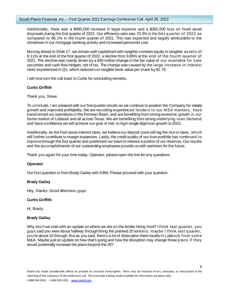Additionally, there was a \$480,000 increase in legal expense and a \$362,000 loss on fixed asset disposals during the first quarter of 2022. Our efficiency ratio was 70.3% in the first quarter of 2022 as compared to 66.1% in the fourth quarter of 2021. This was expected and largely attributable to the slowdown in our mortgage banking activity and increased personnel cost.

Moving ahead to Slide 17, we remain well-capitalized with tangible common equity to tangible assets of 9.11% at the end of the first quarter of 2022, a decline from 9.85% at the end of the fourth quarter of 2021. The decline was mainly driven by a \$30 million change in the fair value of our available for sale securities and cash flow hedges, net of tax. The change was caused by the large increase in interest rates experienced in Q1, which reduced our tangible book value per share by \$1.70.

I will now turn the call back to Curtis for concluding remarks.

# **Curtis Griffith**

Thank you, Steve.

To conclude, I am pleased with our first quarter results as we continue to position the Company for steady growth and improved profitability. We are recruiting experienced lenders to our MSA markets , have transformed our operations in the Permian Basin, and are benefiting from strong economic growth in our home market of Lubbock and all across Texas. We are benefiting from strong underlying loan demand and have confidence we will achieve our goal of mid- to high-single-digit loan growth in 2022.

Additionally, as the Fed raises interest rates, we believe our deposit costs will lag the rise in rates, which will further contribute to margin expansion. Lastly, the credit quality of our loan portfolio has continued to improve through the first quarter and positioned our team to release a portion of our reserves. Our results and the accomplishments of our outstanding employees provide us with optimism for the future.

Thank you again for your time today. Operator, please open the line for any questions.

# **Operator**

Our first question is from Brady Gailey with KBW. Please proceed with your question.

# **Brady Gailey**

Hey, thanks. Good afternoon, guys.

# **Curtis Griffith**

Hi, Brady.

# **Brady Gailey**

Why don't we start with an update on where we are on the lender hiring front? I think last quarter, you guys said you were about halfway through hiring the planned 20 lenders, maybe I think last quarter, you're about 10 through. But as you said, there's a lot of dislocation there locally in Lubbock from some M&A. Maybe just an update on how that's going and how the disruption may change those plans if they would potentially increase the plans beyond the 20?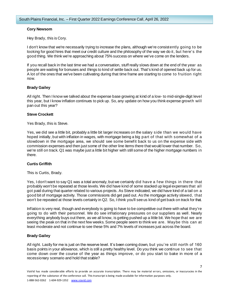## **Cory Newsom**

Hey Brady, this is Cory.

I don't know that we're necessarily trying to increase the plans, although we're consistently going to be looking for good hires that meet our credit culture and the philosophy of the way we do it, but here's the good thing. We think we're approaching about 75% success on where we've come on the lenders.

If you recall back in the last time we had a conversation, stuff really slows down at the end of the year as people are waiting for bonuses and things to kind of settle back out. That's kind of opened back up for us. A lot of the ones that we've been cultivating during that time frame are starting to come to fruition right now.

# **Brady Gailey**

All right. Then I know we talked about the expense base growing at kind of a low- to mid-single-digit level this year, but I know inflation continues to pick up. So, any update on how you think expense growth will pan out this year?

## **Steve Crockett**

Yes Brady, this is Steve.

Yes, we did see a little bit, probably a little bit larger increases on the salary side than we would have hoped initially, but with inflation in wages, with mortgage being a big part of that with somewhat of a slowdown in the mortgage area, we should see some benefit back to us on the expense side with commission expenses and then just some of the other line items there that would lower that number. So, we're still on track. Q1 was maybe just a little bit higher with still some of the higher mortgage numbers in there.

# **Curtis Griffith**

This is Curtis, Brady.

Yes, I don't want to say Q1 was a total anomaly, but we certainly did have a f ew things in there that probably won't be repeated at those levels. We did have kind of some stacked up legal expenses that all got paid during that quarter related to various projects. As Steve indicated, we did have kind of a tail on a good bit of mortgage activity. Those commissions did get paid out. As the mortgage activity slowed, that won't be repeated at those levels certainly in Q2. So, I think you'll see us kind of get back on track for that.

Inflation is very real, though and everybody is going to have to be competitive out there with what they're going to do with their personnel. We do see inflationary pressures on our suppliers as well. Nearly everything anybody buys out there, as we all know, is getting pushed up a little bit. We hope that we are seeing the peak on that in the next few weeks. Some people seem to think we are. Maybe this can at least moderate and not continue to see these 5% and 7% levels of increases just across the board.

# **Brady Gailey**

All right. Lastly for me is just on the reserve level. It's been coming down, but you're still north of 160 basis points in your allowance, which is still a pretty healthy level. Do you think we continue to see that come down over the course of the year as things improve, or do you start to bake in more of a recessionary scenario and hold that stable?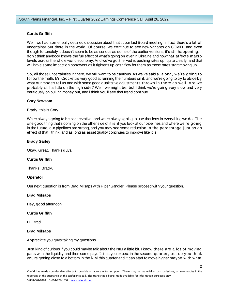# **Curtis Griffith**

Well, we had some really detailed discussion about that at our last Board meeting. In fact, there's a lot of uncertainty out there in the world. Of course, we continue to see new variants on COVID , and even though fortunately it doesn't seem to be as serious as some of the earlier versions, it's still happening. I don't think anybody knows the full effect of what's going on over in Ukraine and how that affects macro levels across the whole world economy. And we've got the Fed is pushing rates up, quite clearly, and that will have some impact on borrowers as it tightens up cash flow for them as those rates start moving up.

So, all those uncertainties in there, we still want to be cautious. As we've said all along, we're going to follow the math. Mr. Crockett is very good at running the numbers on it, and we're going to try to abide by what our models tell us and with some good qualitative adjustments thrown in there as well. Are we probably still a little on the high side? Well, we might be, but I think we're going very slow and very cautiously on pulling money out, and I think you'll see that trend continue.

## **Cory Newsom**

Brady, this is Cory.

We're always going to be conservative, and we're always going to use that lens in everything we do. The one good thing that's coming on the other side of it is, if you look at our pipelines and where we're going in the future, our pipelines are strong, and you may see some reduction in the percentage just as an effect of that I think, and as long as asset quality continues to improve like it is.

## **Brady Gailey**

Okay. Great. Thanks guys.

#### **Curtis Griffith**

Thanks, Brady.

# **Operator**

Our next question is from Brad Milsaps with Piper Sandler. Please proceed with your question.

#### **Brad Milsaps**

Hey, good afternoon.

#### **Curtis Griffith**

Hi, Brad.

#### **Brad Milsaps**

Appreciate you guys taking my questions.

Just kind of curious if you could maybe talk about the NIM a little bit. I know there are a lot of moving parts with the liquidity and then some payoffs that you expect in the second quarter, b ut do you think you're getting close to a bottom in the NIM this quarter and it can start to move higher maybe with what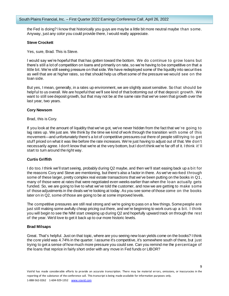the Fed is doing? I know that historically you guys are maybe a little bit more neutral maybe than some. Anyway, just any color you could provide there, I would really appreciate.

#### **Steve Crockett**

Yes, sure, Brad. This is Steve.

I would say we're hopeful that that has gotten toward the bottom. We do continue to grow loans but there's still a lot of competition on loans and primarily on rate, so we're having to be competitive on that a little bit. We're still seeing pressure on that side. We have redeployed some of the liquidity into securities as well that are at higher rates, so that should help us offset some of the pressure we would see on the loan side.

But yes, I mean, generally, in a rates up environment, we are slightly asset sensitive. So that should be helpful to us overall. We are hopeful that we'll see kind of that bottoming out of that deposit growth. We want to still see deposit growth, but that may not be at the same rate that we've seen that growth over the last year, two years.

#### **Cory Newsom**

Brad, this is Cory.

If you look at the amount of liquidity that we've got, we've never hidden from the fact that we're going to lag rates up. We just are. We think by the time we kind of work through the transition with some of this movement—and unfortunately there's a lot of competitive pressures out there of people still trying to get stuff priced on what it was like before the rate increases. We're just having to adjust out of that. We don't necessarily agree. I don't know that we're at the very bottom, but I don't think we're far off of it. I think it' ll start to turn around the right way.

#### **Curtis Griffith**

I do too. I think we'll start seeing, probably during Q2 maybe, and then we'll start easing back up a bit for the reasons Cory and Steve are mentioning, but there's also a factor in there. As we've worked through some of these larger, pretty complex real estate transactions that we've been putting on the books in Q1 , many of those were at rates that were negotiated even weeks earlier than when the loan actually gets funded. So, we are going to live to what we've told the customer, and now we are getting to make some of those adjustments in the deals we're looking at today. As you see some of those come on the books later on in Q2, some of those are going to be at some improved levels.

The competitive pressures are still real strong and we're going to pass on a few things. Some people are just still making some awfully cheap pricing out there, and we're beginning to work ours up a bit. I think you will begin to see the NIM start creeping up during Q2 and hopefully upward track on through the rest of the year. We'd love to get it back up to our more historic levels.

#### **Brad Milsaps**

Great. That's helpful. Just on that topic, where are you seeing new loan yields come on the books? I think the core yield was 4.74% in the quarter. I assume it's competitive, it's somewhere south of there, but just trying to get a sense of how much more pressure you could see. Can you remind me the percentage of the loans that reprice in fairly short order with any move in Fed funds or LIBOR?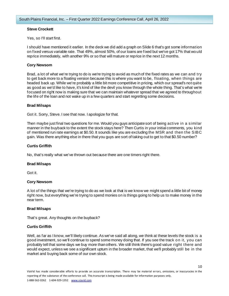## **Steve Crockett**

Yes, so I'll start first.

I should have mentioned it earlier. In the deck we did add a graph on Slide 6 that's got some information on fixed versus variable rate. That 49%, almost 50%, of our loans are fixed but we've got 17% that would reprice immediately, with another 9% or so that will mature or reprice in the next 12 months.

## **Cory Newsom**

Brad, a lot of what we're trying to do is we're trying to avoid as much of the fixed rates as we can and try to get back more to a floating version because this is where you want to be, floating, when things are headed back up. While we're probably a little bit more competitive in pricing, which our spread's not quite as good as we'd like to have, it's kind of like the devil you know through the whole thing. That's what we're focused on right now is making sure that we can maintain whatever spread that we agreed to throughout the life of the loan and not wake up in a few quarters and start regretting some decisions.

#### **Brad Milsaps**

Got it. Sorry, Steve. I see that now. I apologize for that.

Then maybe just final two questions for me. Would you guys anticipate sort of being active in a similar manner in the buyback to the extent the stock stays here? Then Curtis in your initial comments, you kind of mentioned run rate earnings at \$0.50. It sounds like you are excluding the MSR and then the SIBC gain. Was there anything else in there that you guys are sort of taking out to get to that \$0.50 number?

# **Curtis Griffith**

No, that's really what we've thrown out because there are one timers right there.

#### **Brad Milsaps**

Got it.

# **Cory Newsom**

A lot of the things that we're trying to do as we look at that is we know we might spend a little bit of money right now, but everything we're trying to spend monies on is things going to help us to make money in the near term.

# **Brad Milsaps**

That's great. Any thoughts on the buyback?

# **Curtis Griffith**

Well, as far as I know, we'll likely continue. As we've said all along, we think at these levels the stock is a good investment, so we'll continue to spend some money doing that. If you see the track on it, you can probably tell that some days we buy more than others. We still think there's good value right there and would expect, unless we see a significant upturn in the broader market, that we'll probably still be in the market and buying back some of our own stock.